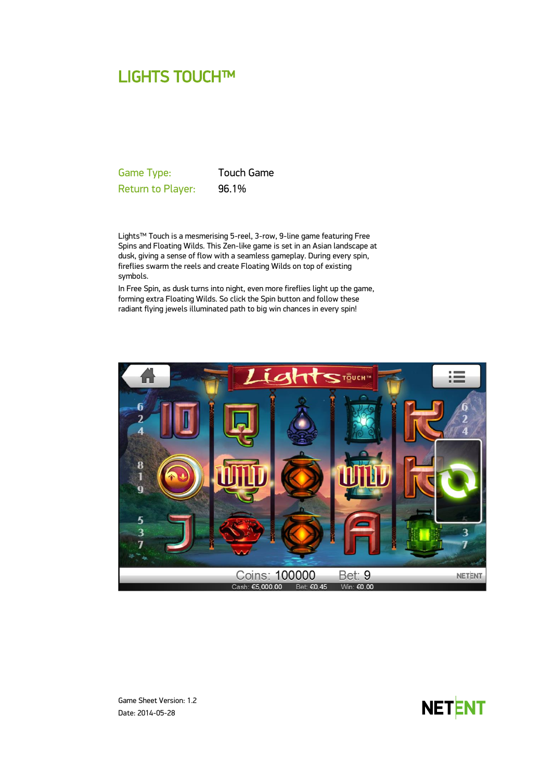# LIGHTS TOUCH™

Game Type: Touch Game Return to Player: 96.1%

Lights™ Touch is a mesmerising 5-reel, 3-row, 9-line game featuring Free Spins and Floating Wilds. This Zen-like game is set in an Asian landscape at dusk, giving a sense of flow with a seamless gameplay. During every spin, fireflies swarm the reels and create Floating Wilds on top of existing symbols.

In Free Spin, as dusk turns into night, even more fireflies light up the game, forming extra Floating Wilds. So click the Spin button and follow these radiant flying jewels illuminated path to big win chances in every spin!





Game Sheet Version: 1.2 Date: 2014-05-28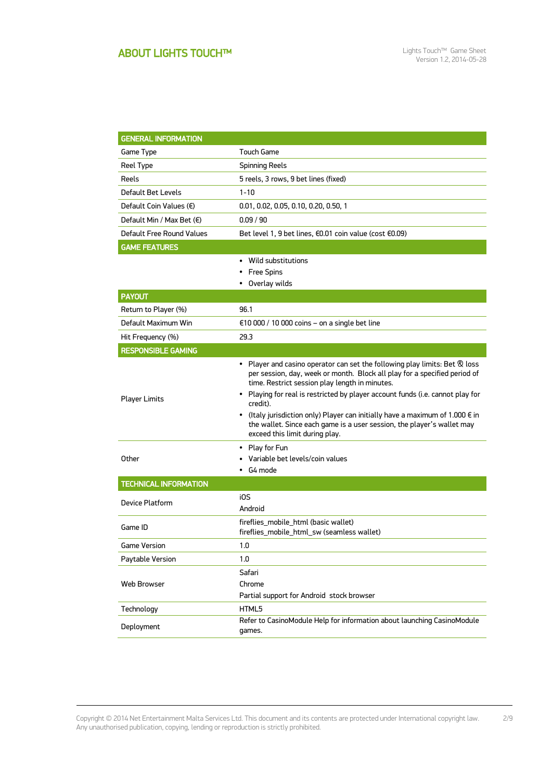## ABOUT LIGHTS TOUCH™

| <b>GENERAL INFORMATION</b>         |                                                                                                                                                                                                                                                                                                                                                                                                                                                                                                               |  |  |
|------------------------------------|---------------------------------------------------------------------------------------------------------------------------------------------------------------------------------------------------------------------------------------------------------------------------------------------------------------------------------------------------------------------------------------------------------------------------------------------------------------------------------------------------------------|--|--|
| Game Type                          | Touch Game                                                                                                                                                                                                                                                                                                                                                                                                                                                                                                    |  |  |
| Reel Type                          | <b>Spinning Reels</b>                                                                                                                                                                                                                                                                                                                                                                                                                                                                                         |  |  |
| Reels                              | 5 reels, 3 rows, 9 bet lines (fixed)                                                                                                                                                                                                                                                                                                                                                                                                                                                                          |  |  |
| Default Bet Levels                 | $1 - 10$                                                                                                                                                                                                                                                                                                                                                                                                                                                                                                      |  |  |
| Default Coin Values $(\epsilon)$   | 0.01, 0.02, 0.05, 0.10, 0.20, 0.50, 1                                                                                                                                                                                                                                                                                                                                                                                                                                                                         |  |  |
| Default Min / Max Bet $(\epsilon)$ | 0.09 / 90                                                                                                                                                                                                                                                                                                                                                                                                                                                                                                     |  |  |
| Default Free Round Values          | Bet level 1, 9 bet lines, €0.01 coin value (cost €0.09)                                                                                                                                                                                                                                                                                                                                                                                                                                                       |  |  |
| <b>GAME FEATURES</b>               |                                                                                                                                                                                                                                                                                                                                                                                                                                                                                                               |  |  |
|                                    | • Wild substitutions<br><b>Free Spins</b><br>• Overlay wilds                                                                                                                                                                                                                                                                                                                                                                                                                                                  |  |  |
| <b>PAYOUT</b>                      |                                                                                                                                                                                                                                                                                                                                                                                                                                                                                                               |  |  |
| Return to Player (%)               | 96.1                                                                                                                                                                                                                                                                                                                                                                                                                                                                                                          |  |  |
| Default Maximum Win                | $\epsilon$ 10 000 / 10 000 coins - on a single bet line                                                                                                                                                                                                                                                                                                                                                                                                                                                       |  |  |
| Hit Frequency (%)                  | 29.3                                                                                                                                                                                                                                                                                                                                                                                                                                                                                                          |  |  |
| <b>RESPONSIBLE GAMING</b>          |                                                                                                                                                                                                                                                                                                                                                                                                                                                                                                               |  |  |
| <b>Player Limits</b>               | • Player and casino operator can set the following play limits: Bet & loss<br>per session, day, week or month. Block all play for a specified period of<br>time. Restrict session play length in minutes.<br>• Playing for real is restricted by player account funds (i.e. cannot play for<br>credit).<br>• (Italy jurisdiction only) Player can initially have a maximum of 1.000 $\epsilon$ in<br>the wallet. Since each game is a user session, the player's wallet may<br>exceed this limit during play. |  |  |
| Other                              | • Play for Fun<br>• Variable bet levels/coin values<br>$\cdot$ G4 mode                                                                                                                                                                                                                                                                                                                                                                                                                                        |  |  |
| <b>TECHNICAL INFORMATION</b>       |                                                                                                                                                                                                                                                                                                                                                                                                                                                                                                               |  |  |
| Device Platform                    | i0S<br>Android                                                                                                                                                                                                                                                                                                                                                                                                                                                                                                |  |  |
| Game ID                            | fireflies_mobile_html (basic wallet)<br>fireflies_mobile_html_sw (seamless wallet)                                                                                                                                                                                                                                                                                                                                                                                                                            |  |  |
| Game Version                       | 1.0                                                                                                                                                                                                                                                                                                                                                                                                                                                                                                           |  |  |
| Paytable Version                   | 1.0                                                                                                                                                                                                                                                                                                                                                                                                                                                                                                           |  |  |
| Web Browser                        | Safari<br>Chrome<br>Partial support for Android stock browser                                                                                                                                                                                                                                                                                                                                                                                                                                                 |  |  |
| Technology                         | HTML5                                                                                                                                                                                                                                                                                                                                                                                                                                                                                                         |  |  |
| Deployment                         | Refer to CasinoModule Help for information about launching CasinoModule<br>games.                                                                                                                                                                                                                                                                                                                                                                                                                             |  |  |

Copyright © 2014 Net Entertainment Malta Services Ltd. This document and its contents are protected under International copyright law. Any unauthorised publication, copying, lending or reproduction is strictly prohibited. 2/9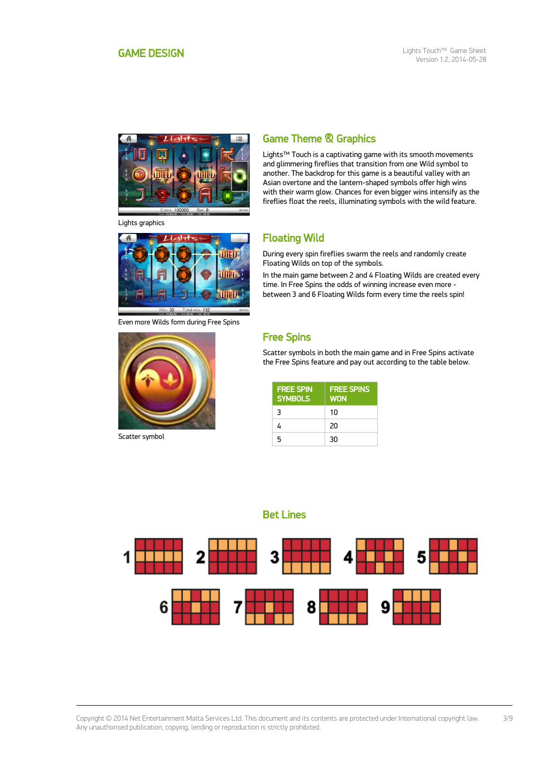

Lights graphics



Even more Wilds form during Free Spins



Scatter symbol

## Game Theme & Graphics

Lights™ Touch is a captivating game with its smooth movements and glimmering fireflies that transition from one Wild symbol to another. The backdrop for this game is a beautiful valley with an Asian overtone and the lantern-shaped symbols offer high wins with their warm glow. Chances for even bigger wins intensify as the fireflies float the reels, illuminating symbols with the wild feature.

## Floating Wild

During every spin fireflies swarm the reels and randomly create Floating Wilds on top of the symbols.

In the main game between 2 and 4 Floating Wilds are created every time. In Free Spins the odds of winning increase even more between 3 and 6 Floating Wilds form every time the reels spin!

## Free Spins

Scatter symbols in both the main game and in Free Spins activate the Free Spins feature and pay out according to the table below.

| <b>FREE SPIN</b><br><b>SYMBOLS</b> | <b>FREE SPINS</b><br><b>WON</b> |
|------------------------------------|---------------------------------|
| 3                                  | $1 \Omega$                      |
| 4                                  | 20                              |
| 5                                  | 30                              |

Bet Lines

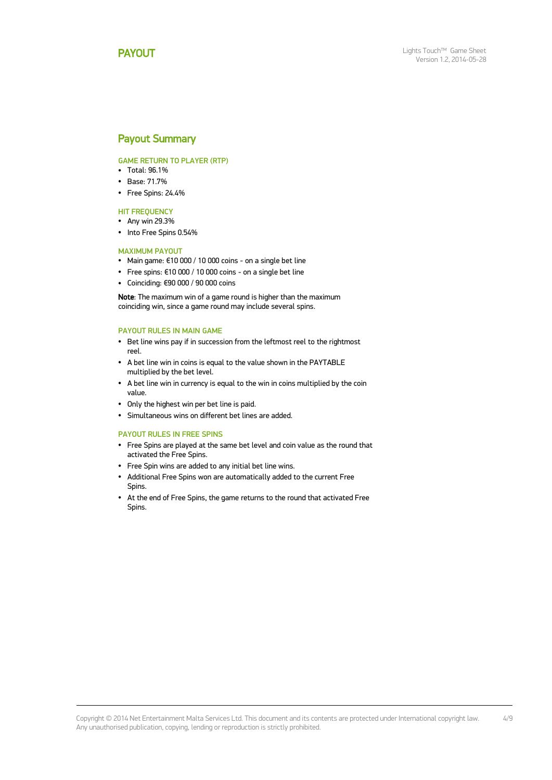### <span id="page-3-0"></span>Payout Summary

### GAME RETURN TO PLAYER (RTP)

- $\cdot$  Total: 96.1%
- Base: 71.7%
- Free Spins: 24.4%

### HIT FREQUENCY

- Any win 29.3%
- Into Free Spins 0.54%

### MAXIMUM PAYOUT

- Main game: €10 000 / 10 000 coins on a single bet line
- Free spins: €10 000 / 10 000 coins on a single bet line
- Coinciding: €90 000 / 90 000 coins

Note: The maximum win of a game round is higher than the maximum coinciding win, since a game round may include several spins.

### PAYOUT RULES IN MAIN GAME

- Bet line wins pay if in succession from the leftmost reel to the rightmost reel.
- A bet line win in coins is equal to the value shown in the PAYTABLE multiplied by the bet level.
- A bet line win in currency is equal to the win in coins multiplied by the coin value.
- Only the highest win per bet line is paid.
- Simultaneous wins on different bet lines are added.

#### PAYOUT RULES IN FREE SPINS

- Free Spins are played at the same bet level and coin value as the round that activated the Free Spins.
- Free Spin wins are added to any initial bet line wins.
- Additional Free Spins won are automatically added to the current Free Spins.
- At the end of Free Spins, the game returns to the round that activated Free Spins.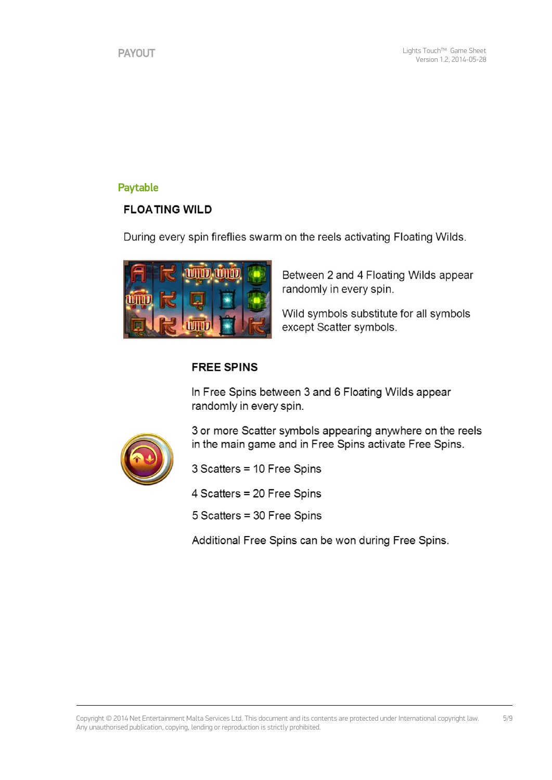## Paytable

## **FLOATING WILD**

During every spin fireflies swarm on the reels activating Floating Wilds.



Between 2 and 4 Floating Wilds appear randomly in every spin.

Wild symbols substitute for all symbols except Scatter symbols.

## **FREE SPINS**

In Free Spins between 3 and 6 Floating Wilds appear randomly in every spin.



3 or more Scatter symbols appearing anywhere on the reels in the main game and in Free Spins activate Free Spins.

3 Scatters = 10 Free Spins

4 Scatters = 20 Free Spins

5 Scatters = 30 Free Spins

Additional Free Spins can be won during Free Spins.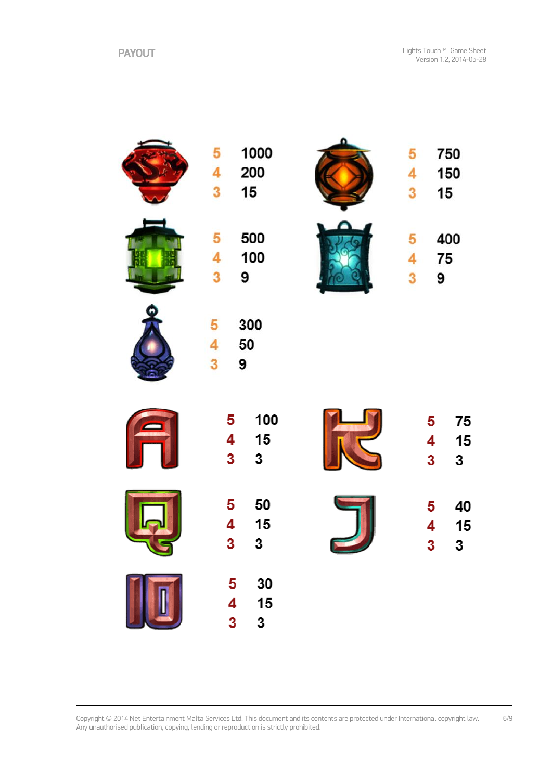|   | 1000<br>5<br>200<br>4<br>3<br>15 | 750<br>5<br>150<br>4<br>15<br>3 |
|---|----------------------------------|---------------------------------|
|   | 500<br>5<br>100<br>4<br>3<br>9   | 400<br>5<br>75<br>4<br>3<br>9   |
|   | 300<br>5<br>50<br>4<br>3<br>9    |                                 |
|   | 100<br>5<br>15<br>4<br>3<br>3    | 75<br>5<br>15<br>4<br>3<br>3    |
| پ | 50<br>5<br>15<br>4<br>3<br>3     | 5<br>40<br>15<br>4<br>3<br>3    |
|   | 30<br>5<br>4<br>15<br>3<br>3     |                                 |

Copyright © 2014 Net Entertainment Malta Services Ltd. This document and its contents are protected under International copyright law. Any unauthorised publication, copying, lending or reproduction is strictly prohibited. 6/9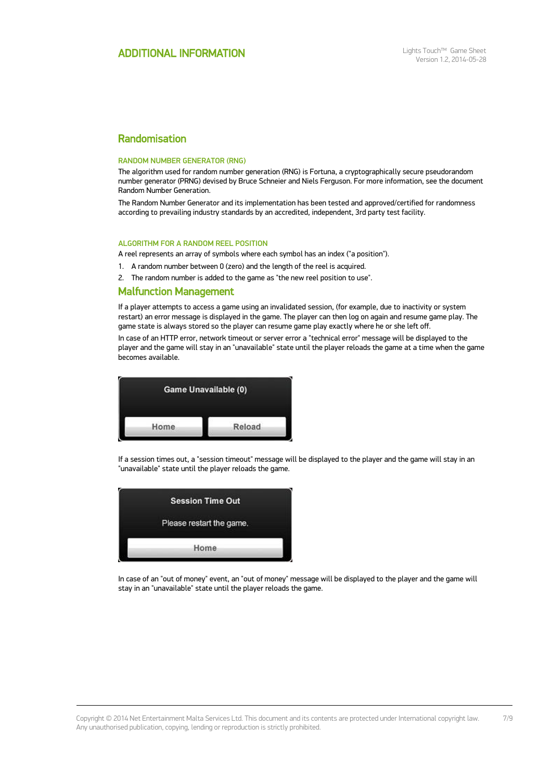## Randomisation

#### RANDOM NUMBER GENERATOR (RNG)

The algorithm used for random number generation (RNG) is Fortuna, a cryptographically secure pseudorandom number generator (PRNG) devised by Bruce Schneier and Niels Ferguson. For more information, see the document Random Number Generation.

The Random Number Generator and its implementation has been tested and approved/certified for randomness according to prevailing industry standards by an accredited, independent, 3rd party test facility.

#### ALGORITHM FOR A RANDOM REEL POSITION

A reel represents an array of symbols where each symbol has an index ("a position").

1. A random number between 0 (zero) and the length of the reel is acquired.

2. The random number is added to the game as "the new reel position to use".

### Malfunction Management

If a player attempts to access a game using an invalidated session, (for example, due to inactivity or system restart) an error message is displayed in the game. The player can then log on again and resume game play. The game state is always stored so the player can resume game play exactly where he or she left off.

In case of an HTTP error, network timeout or server error a "technical error" message will be displayed to the player and the game will stay in an "unavailable" state until the player reloads the game at a time when the game becomes available.



If a session times out, a "session timeout" message will be displayed to the player and the game will stay in an "unavailable" state until the player reloads the game.

| <b>Session Time Out</b>  |      |  |  |
|--------------------------|------|--|--|
| Please restart the game. |      |  |  |
|                          |      |  |  |
|                          | Home |  |  |

In case of an "out of money" event, an "out of money" message will be displayed to the player and the game will stay in an "unavailable" state until the player reloads the game.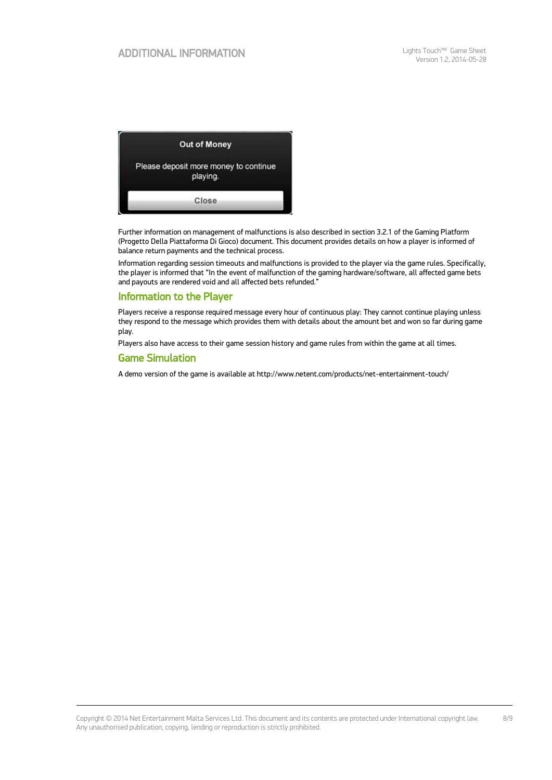

Further information on management of malfunctions is also described in section 3.2.1 of the Gaming Platform (Progetto Della Piattaforma Di Gioco) document. This document provides details on how a player is informed of balance return payments and the technical process.

Information regarding session timeouts and malfunctions is provided to the player via the game rules. Specifically, the player is informed that "In the event of malfunction of the gaming hardware/software, all affected game bets and payouts are rendered void and all affected bets refunded."

### Information to the Player

Players receive a response required message every hour of continuous play: They cannot continue playing unless they respond to the message which provides them with details about the amount bet and won so far during game play.

Players also have access to their game session history and game rules from within the game at all times.

### Game Simulation

A demo version of the game is available at http://www.netent.com/products/net-entertainment-touch/